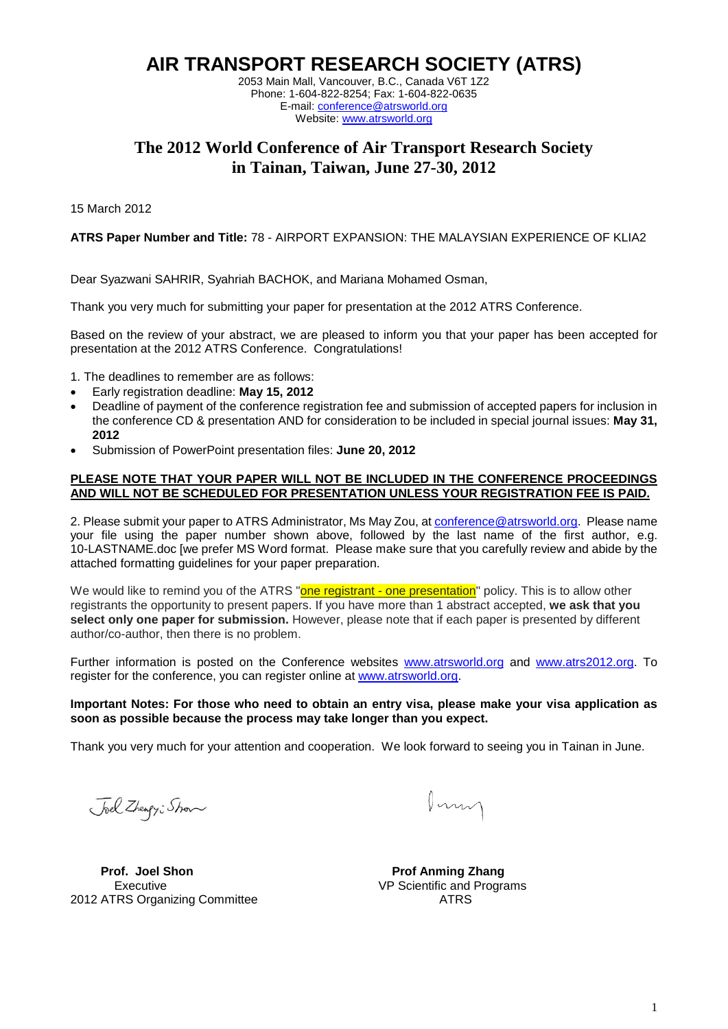**AIR TRANSPORT RESEARCH SOCIETY (ATRS)**

2053 Main Mall, Vancouver, B.C., Canada V6T 1Z2 Phone: 1-604-822-8254; Fax: 1-604-822-0635 E-mail: [conference@atrsworld.org](mailto:conference@atrsworld.org) Website: [www.atrsworld.org](http://www.atrsworld.org/)

# **The 2012 World Conference of Air Transport Research Society in Tainan, Taiwan, June 27-30, 2012**

15 March 2012

**ATRS Paper Number and Title:** 78 - AIRPORT EXPANSION: THE MALAYSIAN EXPERIENCE OF KLIA2

Dear Syazwani SAHRIR, Syahriah BACHOK, and Mariana Mohamed Osman,

Thank you very much for submitting your paper for presentation at the 2012 ATRS Conference.

Based on the review of your abstract, we are pleased to inform you that your paper has been accepted for presentation at the 2012 ATRS Conference. Congratulations!

- 1. The deadlines to remember are as follows:
- Early registration deadline: **May 15, 2012**
- Deadline of payment of the conference registration fee and submission of accepted papers for inclusion in the conference CD & presentation AND for consideration to be included in special journal issues: **May 31, 2012**
- Submission of PowerPoint presentation files: **June 20, 2012**

#### **PLEASE NOTE THAT YOUR PAPER WILL NOT BE INCLUDED IN THE CONFERENCE PROCEEDINGS AND WILL NOT BE SCHEDULED FOR PRESENTATION UNLESS YOUR REGISTRATION FEE IS PAID.**

2. Please submit your paper to ATRS Administrator, Ms May Zou, a[t conference@atrsworld.org.](mailto:conference@atrsworld.org) Please name your file using the paper number shown above, followed by the last name of the first author, e.g. 10-LASTNAME.doc [we prefer MS Word format. Please make sure that you carefully review and abide by the attached formatting guidelines for your paper preparation.

We would like to remind you of the ATRS "**one registrant - one presentation**" policy. This is to allow other registrants the opportunity to present papers. If you have more than 1 abstract accepted, **we ask that you select only one paper for submission.** However, please note that if each paper is presented by different author/co-author, then there is no problem.

Further information is posted on the Conference websites [www.atrsworld.org](http://www.atrsworld.org/) and [www.atrs2012.org.](http://www.atrs2012.org/) To register for the conference, you can register online at [www.atrsworld.org.](http://www.atrsworld.org/)

#### **Important Notes: For those who need to obtain an entry visa, please make your visa application as soon as possible because the process may take longer than you expect.**

Thank you very much for your attention and cooperation. We look forward to seeing you in Tainan in June.

Joel Zhengy: Show

Pony

**Prof. Joel Shon Prof Anming Zhang** 2012 ATRS Organizing Committee ATRS

Executive **Executive** VP Scientific and Programs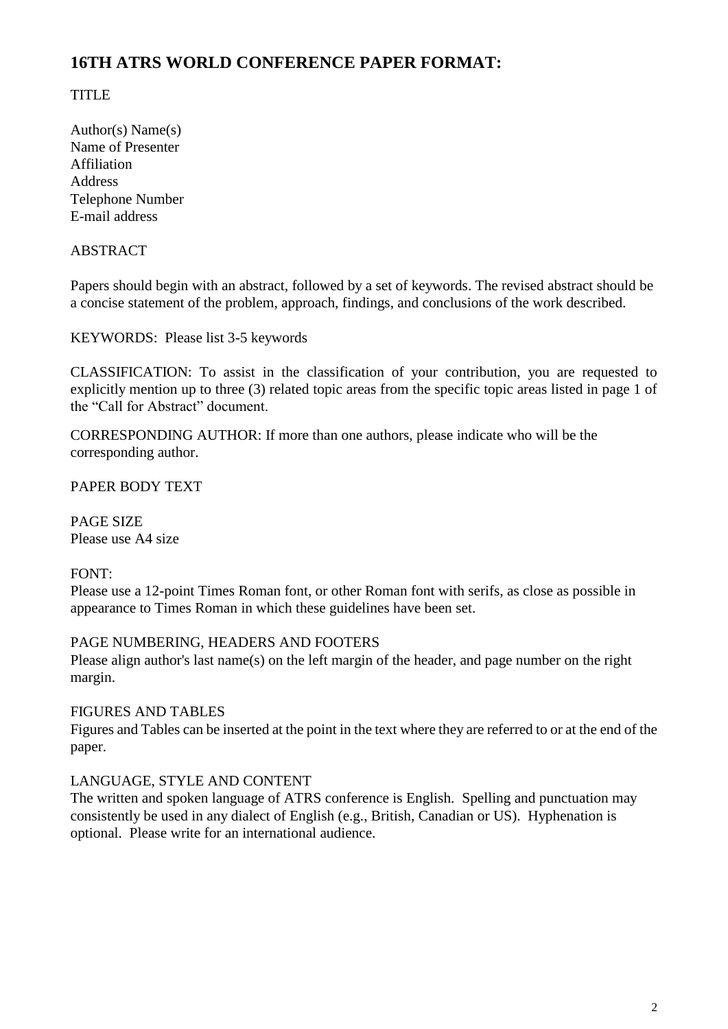# **16TH ATRS WORLD CONFERENCE PAPER FORMAT:**

# TITLE

Author(s) Name(s) Name of Presenter Affiliation Address Telephone Number E-mail address

### ABSTRACT

Papers should begin with an abstract, followed by a set of keywords. The revised abstract should be a concise statement of the problem, approach, findings, and conclusions of the work described.

KEYWORDS: Please list 3-5 keywords

CLASSIFICATION: To assist in the classification of your contribution, you are requested to explicitly mention up to three (3) related topic areas from the specific topic areas listed in page 1 of the "Call for Abstract" document.

CORRESPONDING AUTHOR: If more than one authors, please indicate who will be the corresponding author.

PAPER BODY TEXT

PAGE SIZE Please use A4 size

### FONT:

Please use a 12-point Times Roman font, or other Roman font with serifs, as close as possible in appearance to Times Roman in which these guidelines have been set.

#### PAGE NUMBERING, HEADERS AND FOOTERS

Please align author's last name(s) on the left margin of the header, and page number on the right margin.

### FIGURES AND TABLES

Figures and Tables can be inserted at the point in the text where they are referred to or at the end of the paper.

### LANGUAGE, STYLE AND CONTENT

The written and spoken language of ATRS conference is English. Spelling and punctuation may consistently be used in any dialect of English (e.g., British, Canadian or US). Hyphenation is optional. Please write for an international audience.